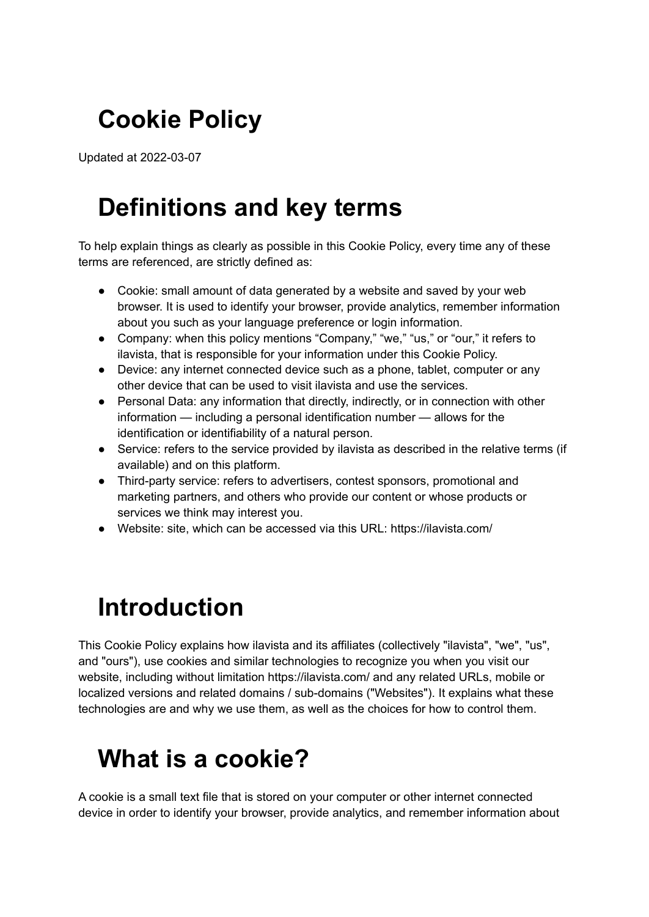## **Cookie Policy**

Updated at 2022-03-07

## **Definitions and key terms**

To help explain things as clearly as possible in this Cookie Policy, every time any of these terms are referenced, are strictly defined as:

- Cookie: small amount of data generated by a website and saved by your web browser. It is used to identify your browser, provide analytics, remember information about you such as your language preference or login information.
- Company: when this policy mentions "Company," "we," "us," or "our," it refers to ilavista, that is responsible for your information under this Cookie Policy.
- Device: any internet connected device such as a phone, tablet, computer or any other device that can be used to visit ilavista and use the services.
- Personal Data: any information that directly, indirectly, or in connection with other information — including a personal identification number — allows for the identification or identifiability of a natural person.
- Service: refers to the service provided by ilavista as described in the relative terms (if available) and on this platform.
- Third-party service: refers to advertisers, contest sponsors, promotional and marketing partners, and others who provide our content or whose products or services we think may interest you.
- Website: site, which can be accessed via this URL: https://ilavista.com/

# **Introduction**

This Cookie Policy explains how ilavista and its affiliates (collectively "ilavista", "we", "us", and "ours"), use cookies and similar technologies to recognize you when you visit our website, including without limitation https://ilavista.com/ and any related URLs, mobile or localized versions and related domains / sub-domains ("Websites"). It explains what these technologies are and why we use them, as well as the choices for how to control them.

### **What is a cookie?**

A cookie is a small text file that is stored on your computer or other internet connected device in order to identify your browser, provide analytics, and remember information about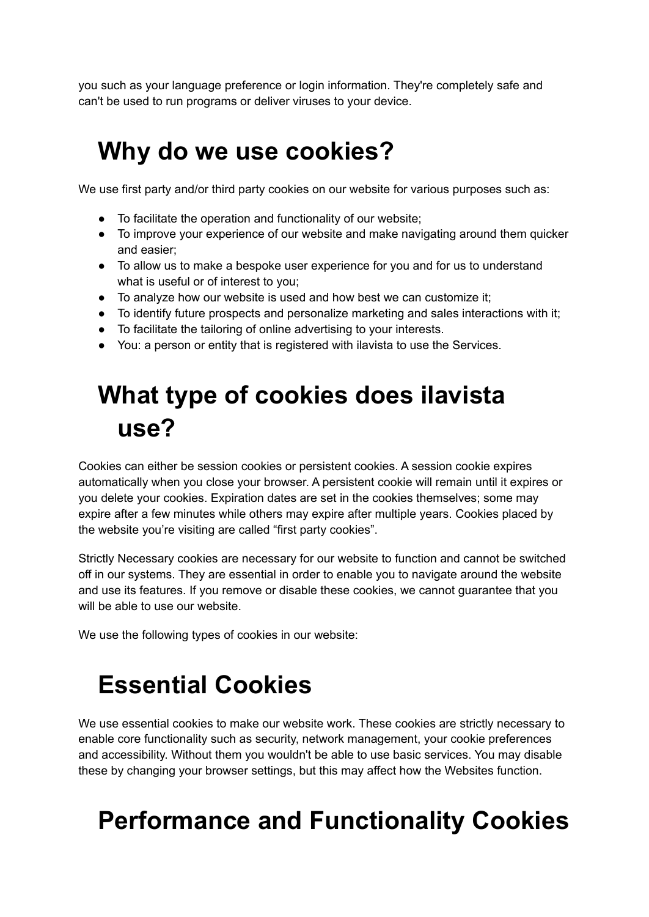you such as your language preference or login information. They're completely safe and can't be used to run programs or deliver viruses to your device.

#### **Why do we use cookies?**

We use first party and/or third party cookies on our website for various purposes such as:

- To facilitate the operation and functionality of our website;
- To improve your experience of our website and make navigating around them quicker and easier;
- To allow us to make a bespoke user experience for you and for us to understand what is useful or of interest to you;
- To analyze how our website is used and how best we can customize it;
- To identify future prospects and personalize marketing and sales interactions with it;
- To facilitate the tailoring of online advertising to your interests.
- You: a person or entity that is registered with ilavista to use the Services.

#### **What type of cookies does ilavista use?**

Cookies can either be session cookies or persistent cookies. A session cookie expires automatically when you close your browser. A persistent cookie will remain until it expires or you delete your cookies. Expiration dates are set in the cookies themselves; some may expire after a few minutes while others may expire after multiple years. Cookies placed by the website you're visiting are called "first party cookies".

Strictly Necessary cookies are necessary for our website to function and cannot be switched off in our systems. They are essential in order to enable you to navigate around the website and use its features. If you remove or disable these cookies, we cannot guarantee that you will be able to use our website.

We use the following types of cookies in our website:

### **Essential Cookies**

We use essential cookies to make our website work. These cookies are strictly necessary to enable core functionality such as security, network management, your cookie preferences and accessibility. Without them you wouldn't be able to use basic services. You may disable these by changing your browser settings, but this may affect how the Websites function.

### **Performance and Functionality Cookies**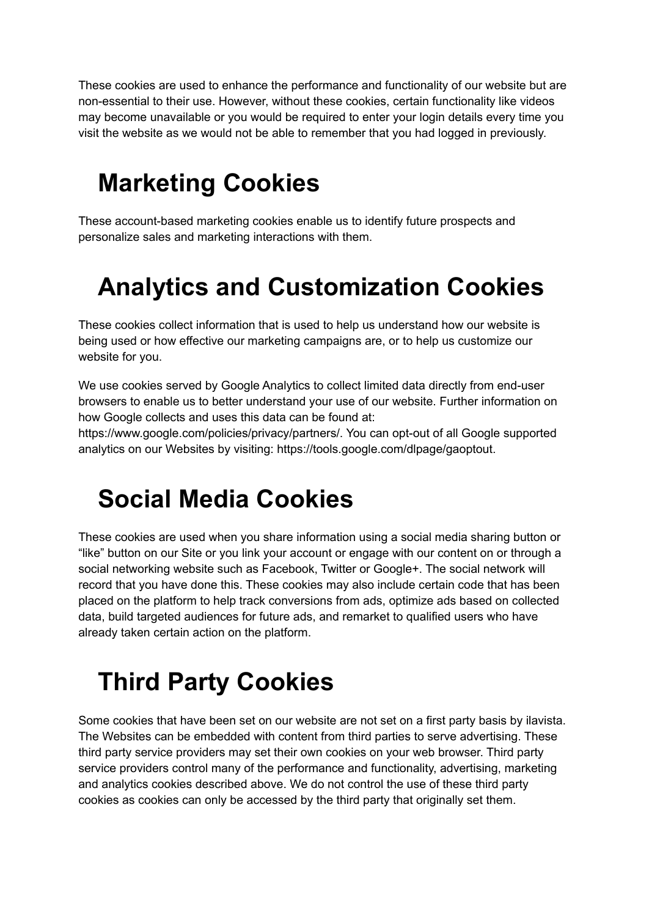These cookies are used to enhance the performance and functionality of our website but are non-essential to their use. However, without these cookies, certain functionality like videos may become unavailable or you would be required to enter your login details every time you visit the website as we would not be able to remember that you had logged in previously.

#### **Marketing Cookies**

These account-based marketing cookies enable us to identify future prospects and personalize sales and marketing interactions with them.

### **Analytics and Customization Cookies**

These cookies collect information that is used to help us understand how our website is being used or how effective our marketing campaigns are, or to help us customize our website for you.

We use cookies served by Google Analytics to collect limited data directly from end-user browsers to enable us to better understand your use of our website. Further information on how Google collects and uses this data can be found at:

https://www.google.com/policies/privacy/partners/. You can opt-out of all Google supported analytics on our Websites by visiting: https://tools.google.com/dlpage/gaoptout.

#### **Social Media Cookies**

These cookies are used when you share information using a social media sharing button or "like" button on our Site or you link your account or engage with our content on or through a social networking website such as Facebook, Twitter or Google+. The social network will record that you have done this. These cookies may also include certain code that has been placed on the platform to help track conversions from ads, optimize ads based on collected data, build targeted audiences for future ads, and remarket to qualified users who have already taken certain action on the platform.

### **Third Party Cookies**

Some cookies that have been set on our website are not set on a first party basis by ilavista. The Websites can be embedded with content from third parties to serve advertising. These third party service providers may set their own cookies on your web browser. Third party service providers control many of the performance and functionality, advertising, marketing and analytics cookies described above. We do not control the use of these third party cookies as cookies can only be accessed by the third party that originally set them.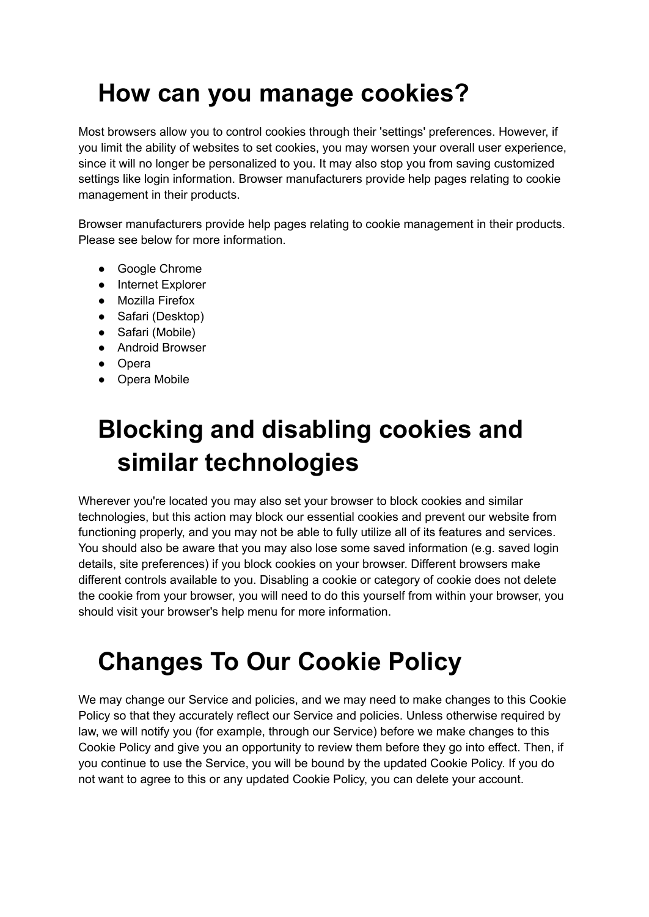## **How can you manage cookies?**

Most browsers allow you to control cookies through their 'settings' preferences. However, if you limit the ability of websites to set cookies, you may worsen your overall user experience, since it will no longer be personalized to you. It may also stop you from saving customized settings like login information. Browser manufacturers provide help pages relating to cookie management in their products.

Browser manufacturers provide help pages relating to cookie management in their products. Please see below for more information.

- Google Chrome
- Internet Explorer
- Mozilla Firefox
- Safari (Desktop)
- Safari (Mobile)
- Android Browser
- Opera
- Opera Mobile

## **Blocking and disabling cookies and similar technologies**

Wherever you're located you may also set your browser to block cookies and similar technologies, but this action may block our essential cookies and prevent our website from functioning properly, and you may not be able to fully utilize all of its features and services. You should also be aware that you may also lose some saved information (e.g. saved login details, site preferences) if you block cookies on your browser. Different browsers make different controls available to you. Disabling a cookie or category of cookie does not delete the cookie from your browser, you will need to do this yourself from within your browser, you should visit your browser's help menu for more information.

### **Changes To Our Cookie Policy**

We may change our Service and policies, and we may need to make changes to this Cookie Policy so that they accurately reflect our Service and policies. Unless otherwise required by law, we will notify you (for example, through our Service) before we make changes to this Cookie Policy and give you an opportunity to review them before they go into effect. Then, if you continue to use the Service, you will be bound by the updated Cookie Policy. If you do not want to agree to this or any updated Cookie Policy, you can delete your account.